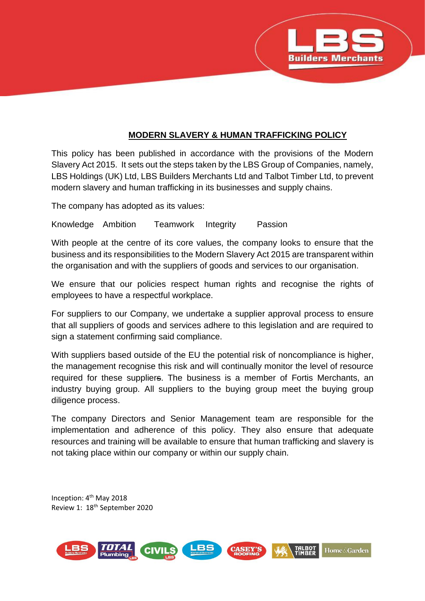

## **MODERN SLAVERY & HUMAN TRAFFICKING POLICY**

This policy has been published in accordance with the provisions of the Modern Slavery Act 2015. It sets out the steps taken by the LBS Group of Companies, namely, LBS Holdings (UK) Ltd, LBS Builders Merchants Ltd and Talbot Timber Ltd, to prevent modern slavery and human trafficking in its businesses and supply chains.

The company has adopted as its values:

Knowledge Ambition Teamwork Integrity Passion

With people at the centre of its core values, the company looks to ensure that the business and its responsibilities to the Modern Slavery Act 2015 are transparent within the organisation and with the suppliers of goods and services to our organisation.

We ensure that our policies respect human rights and recognise the rights of employees to have a respectful workplace.

For suppliers to our Company, we undertake a supplier approval process to ensure that all suppliers of goods and services adhere to this legislation and are required to sign a statement confirming said compliance.

With suppliers based outside of the EU the potential risk of noncompliance is higher, the management recognise this risk and will continually monitor the level of resource required for these suppliers. The business is a member of Fortis Merchants, an industry buying group. All suppliers to the buying group meet the buying group diligence process.

The company Directors and Senior Management team are responsible for the implementation and adherence of this policy. They also ensure that adequate resources and training will be available to ensure that human trafficking and slavery is not taking place within our company or within our supply chain.

Inception: 4th May 2018 Review 1: 18th September 2020